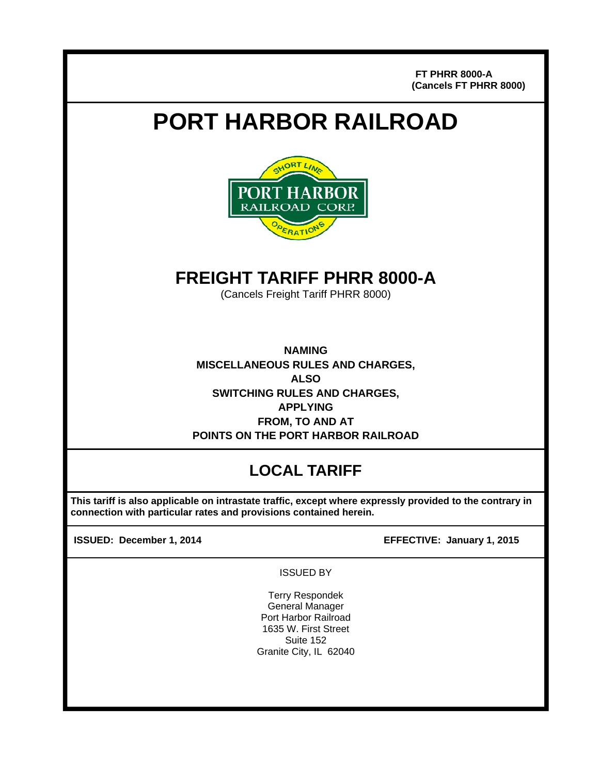**FT PHRR 8000-A (Cancels FT PHRR 8000)**

# **PORT HARBOR RAILROAD**



# **FREIGHT TARIFF PHRR 8000-A**

(Cancels Freight Tariff PHRR 8000)

**NAMING MISCELLANEOUS RULES AND CHARGES, ALSO SWITCHING RULES AND CHARGES, APPLYING FROM, TO AND AT POINTS ON THE PORT HARBOR RAILROAD** 

# **LOCAL TARIFF**

 **This tariff is also applicable on intrastate traffic, except where expressly provided to the contrary in connection with particular rates and provisions contained herein.** 

j

**ISSUED: December 1, 2014 EFFECTIVE: January 1, 2015**

ISSUED BY

Terry Respondek General Manager Port Harbor Railroad 1635 W. First Street Suite 152 Granite City, IL 62040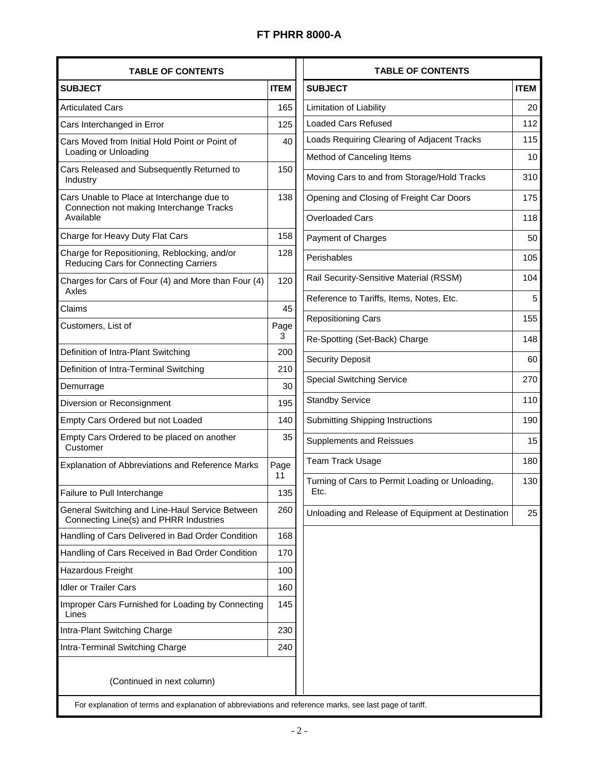| <b>TABLE OF CONTENTS</b>                                                                            |             |  |
|-----------------------------------------------------------------------------------------------------|-------------|--|
| <b>SUBJECT</b>                                                                                      | <b>ITEM</b> |  |
| <b>Articulated Cars</b>                                                                             | 165         |  |
| Cars Interchanged in Error                                                                          | 125         |  |
| Cars Moved from Initial Hold Point or Point of<br>Loading or Unloading                              | 40          |  |
| Cars Released and Subsequently Returned to<br>Industry                                              | 150         |  |
| Cars Unable to Place at Interchange due to<br>Connection not making Interchange Tracks<br>Available | 138         |  |
| Charge for Heavy Duty Flat Cars                                                                     | 158         |  |
| Charge for Repositioning, Reblocking, and/or<br>Reducing Cars for Connecting Carriers               | 128         |  |
| Charges for Cars of Four (4) and More than Four (4)<br>Axles                                        | 120         |  |
| Claims                                                                                              | 45          |  |
| Customers, List of                                                                                  | Page<br>3   |  |
| Definition of Intra-Plant Switching                                                                 | 200         |  |
| Definition of Intra-Terminal Switching                                                              | 210         |  |
| Demurrage                                                                                           | 30          |  |
| Diversion or Reconsignment                                                                          | 195         |  |
| Empty Cars Ordered but not Loaded                                                                   | 140         |  |
| Empty Cars Ordered to be placed on another<br>Customer                                              | 35          |  |
| <b>Explanation of Abbreviations and Reference Marks</b>                                             | Page<br>11  |  |
| Failure to Pull Interchange                                                                         | 135         |  |
| General Switching and Line-Haul Service Between<br>Connecting Line(s) and PHRR Industries           | 260         |  |
| Handling of Cars Delivered in Bad Order Condition                                                   | 168         |  |
| Handling of Cars Received in Bad Order Condition                                                    | 170         |  |
| Hazardous Freight                                                                                   | 100         |  |
| <b>Idler or Trailer Cars</b>                                                                        | 160         |  |
| Improper Cars Furnished for Loading by Connecting<br>Lines                                          | 145         |  |
| Intra-Plant Switching Charge                                                                        | 230         |  |
| Intra-Terminal Switching Charge                                                                     | 240         |  |

I

| <b>TABLE OF CONTENTS</b>                                |             |
|---------------------------------------------------------|-------------|
| <b>SUBJECT</b>                                          | <b>ITEM</b> |
| Limitation of Liability                                 | 20          |
| <b>Loaded Cars Refused</b>                              | 112         |
| Loads Requiring Clearing of Adjacent Tracks             | 115         |
| Method of Canceling Items                               | 10          |
| Moving Cars to and from Storage/Hold Tracks             | 310         |
| Opening and Closing of Freight Car Doors                | 175         |
| <b>Overloaded Cars</b>                                  | 118         |
| Payment of Charges                                      | 50          |
| Perishables                                             | 105         |
| Rail Security-Sensitive Material (RSSM)                 | 104         |
| Reference to Tariffs, Items, Notes, Etc.                | 5           |
| <b>Repositioning Cars</b>                               | 155         |
| Re-Spotting (Set-Back) Charge                           | 148         |
| <b>Security Deposit</b>                                 | 60          |
| <b>Special Switching Service</b>                        | 270         |
| <b>Standby Service</b>                                  | 110         |
| Submitting Shipping Instructions                        | 190         |
| <b>Supplements and Reissues</b>                         | 15          |
| Team Track Usage                                        | 180         |
| Turning of Cars to Permit Loading or Unloading,<br>Etc. | 130         |
| Unloading and Release of Equipment at Destination       | 25          |
|                                                         |             |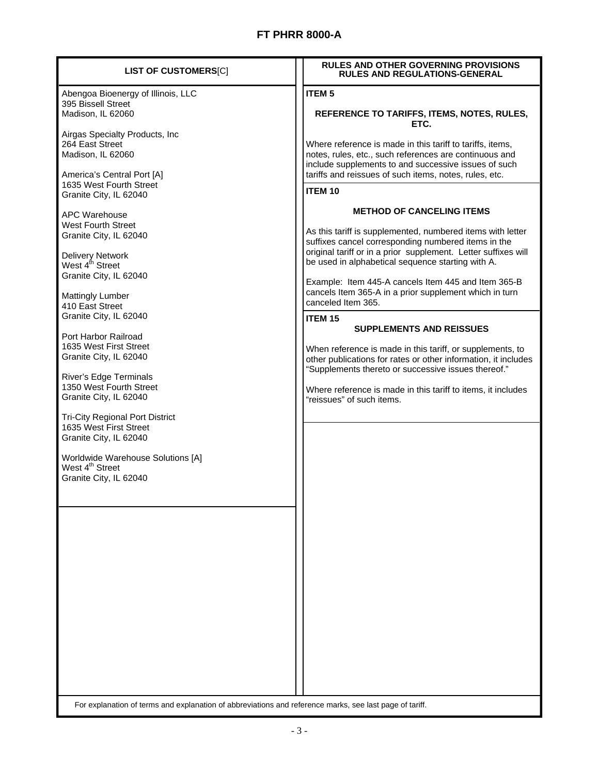| <b>LIST OF CUSTOMERS[C]</b>                                                                             | <b>RULES AND OTHER GOVERNING PROVISIONS</b><br><b>RULES AND REGULATIONS-GENERAL</b>                                                                                                                                                   |
|---------------------------------------------------------------------------------------------------------|---------------------------------------------------------------------------------------------------------------------------------------------------------------------------------------------------------------------------------------|
| Abengoa Bioenergy of Illinois, LLC<br>395 Bissell Street                                                | <b>ITEM 5</b>                                                                                                                                                                                                                         |
| Madison, IL 62060                                                                                       | REFERENCE TO TARIFFS, ITEMS, NOTES, RULES,<br>ETC.                                                                                                                                                                                    |
| Airgas Specialty Products, Inc<br>264 East Street<br>Madison, IL 62060<br>America's Central Port [A]    | Where reference is made in this tariff to tariffs, items,<br>notes, rules, etc., such references are continuous and<br>include supplements to and successive issues of such<br>tariffs and reissues of such items, notes, rules, etc. |
| 1635 West Fourth Street<br>Granite City, IL 62040                                                       | <b>ITEM 10</b>                                                                                                                                                                                                                        |
| <b>APC Warehouse</b>                                                                                    | <b>METHOD OF CANCELING ITEMS</b>                                                                                                                                                                                                      |
| <b>West Fourth Street</b><br>Granite City, IL 62040                                                     | As this tariff is supplemented, numbered items with letter<br>suffixes cancel corresponding numbered items in the                                                                                                                     |
| Delivery Network<br>West 4 <sup>th</sup> Street<br>Granite City, IL 62040                               | original tariff or in a prior supplement. Letter suffixes will<br>be used in alphabetical sequence starting with A.                                                                                                                   |
| <b>Mattingly Lumber</b><br>410 East Street                                                              | Example: Item 445-A cancels Item 445 and Item 365-B<br>cancels Item 365-A in a prior supplement which in turn<br>canceled Item 365.                                                                                                   |
| Granite City, IL 62040                                                                                  | ITEM <sub>15</sub><br><b>SUPPLEMENTS AND REISSUES</b>                                                                                                                                                                                 |
| Port Harbor Railroad<br>1635 West First Street<br>Granite City, IL 62040                                | When reference is made in this tariff, or supplements, to<br>other publications for rates or other information, it includes<br>"Supplements thereto or successive issues thereof."                                                    |
| <b>River's Edge Terminals</b><br>1350 West Fourth Street<br>Granite City, IL 62040                      | Where reference is made in this tariff to items, it includes<br>"reissues" of such items.                                                                                                                                             |
| <b>Tri-City Regional Port District</b><br>1635 West First Street<br>Granite City, IL 62040              |                                                                                                                                                                                                                                       |
| Worldwide Warehouse Solutions [A]<br>West 4 <sup>th</sup> Street                                        |                                                                                                                                                                                                                                       |
| Granite City, IL 62040                                                                                  |                                                                                                                                                                                                                                       |
|                                                                                                         |                                                                                                                                                                                                                                       |
|                                                                                                         |                                                                                                                                                                                                                                       |
|                                                                                                         |                                                                                                                                                                                                                                       |
|                                                                                                         |                                                                                                                                                                                                                                       |
|                                                                                                         |                                                                                                                                                                                                                                       |
|                                                                                                         |                                                                                                                                                                                                                                       |
|                                                                                                         |                                                                                                                                                                                                                                       |
| For explanation of terms and explanation of abbreviations and reference marks, see last page of tariff. |                                                                                                                                                                                                                                       |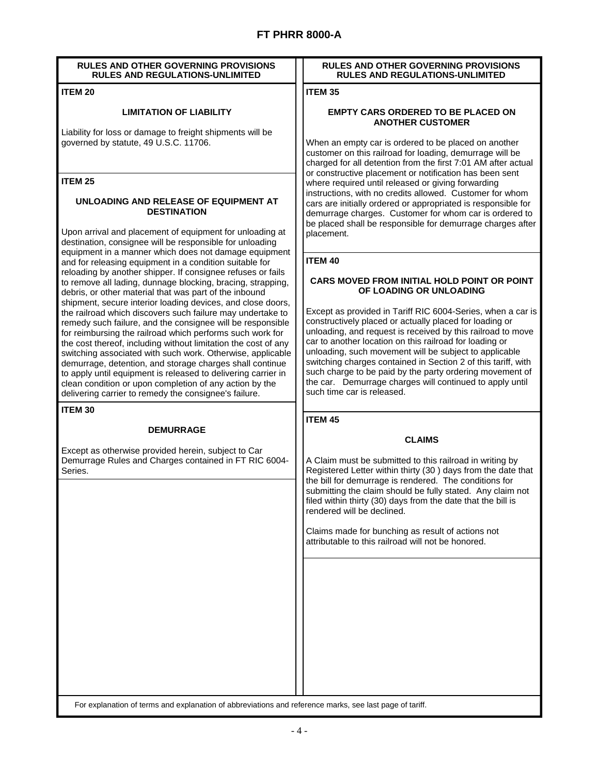#### **RULES AND OTHER GOVERNING PROVISIONS RULES AND REGULATIONS-UNLIMITED**

#### **ITEM 20**

#### **LIMITATION OF LIABILITY**

Liability for loss or damage to freight shipments will be governed by statute, 49 U.S.C. 11706.

#### **ITEM 25**

#### **UNLOADING AND RELEASE OF EQUIPMENT AT DESTINATION**

Upon arrival and placement of equipment for unloading at destination, consignee will be responsible for unloading equipment in a manner which does not damage equipment and for releasing equipment in a condition suitable for reloading by another shipper. If consignee refuses or fails to remove all lading, dunnage blocking, bracing, strapping, debris, or other material that was part of the inbound shipment, secure interior loading devices, and close doors, the railroad which discovers such failure may undertake to remedy such failure, and the consignee will be responsible for reimbursing the railroad which performs such work for the cost thereof, including without limitation the cost of any switching associated with such work. Otherwise, applicable demurrage, detention, and storage charges shall continue to apply until equipment is released to delivering carrier in clean condition or upon completion of any action by the delivering carrier to remedy the consignee's failure.

**ITEM 30** 

#### **DEMURRAGE**

Except as otherwise provided herein, subject to Car Demurrage Rules and Charges contained in FT RIC 6004- Series.

#### **RULES AND OTHER GOVERNING PROVISIONS RULES AND REGULATIONS-UNLIMITED**

**ITEM 35** 

#### **EMPTY CARS ORDERED TO BE PLACED ON ANOTHER CUSTOMER**

When an empty car is ordered to be placed on another customer on this railroad for loading, demurrage will be charged for all detention from the first 7:01 AM after actual or constructive placement or notification has been sent where required until released or giving forwarding instructions, with no credits allowed. Customer for whom cars are initially ordered or appropriated is responsible for demurrage charges. Customer for whom car is ordered to be placed shall be responsible for demurrage charges after placement.

#### **ITEM 40**

#### **CARS MOVED FROM INITIAL HOLD POINT OR POINT OF LOADING OR UNLOADING**

Except as provided in Tariff RIC 6004-Series, when a car is constructively placed or actually placed for loading or unloading, and request is received by this railroad to move car to another location on this railroad for loading or unloading, such movement will be subject to applicable switching charges contained in Section 2 of this tariff, with such charge to be paid by the party ordering movement of the car. Demurrage charges will continued to apply until such time car is released.

**ITEM 45** 

#### **CLAIMS**

A Claim must be submitted to this railroad in writing by Registered Letter within thirty (30 ) days from the date that the bill for demurrage is rendered. The conditions for submitting the claim should be fully stated. Any claim not filed within thirty (30) days from the date that the bill is rendered will be declined.

Claims made for bunching as result of actions not attributable to this railroad will not be honored.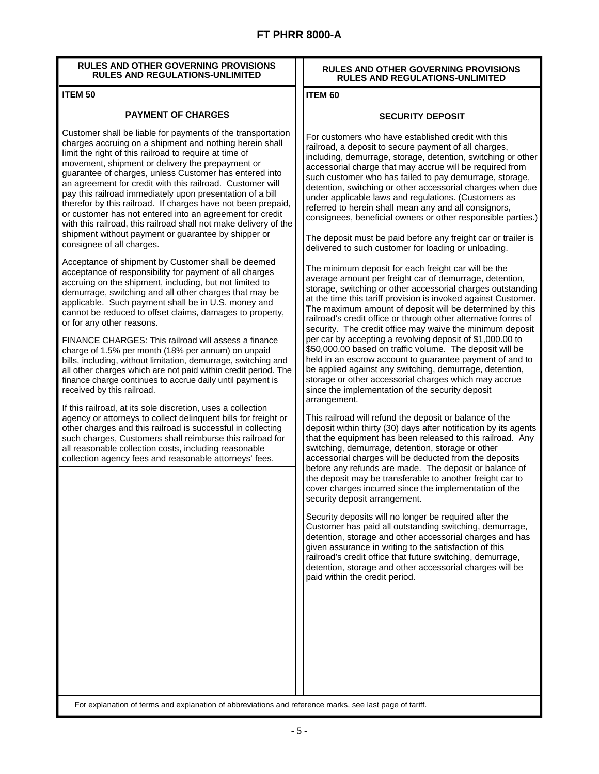#### **RULES AND OTHER GOVERNING PROVISIONS RULES AND REGULATIONS-UNLIMITED**

#### **ITEM 50**

#### **PAYMENT OF CHARGES**

Customer shall be liable for payments of the transportation charges accruing on a shipment and nothing herein shall limit the right of this railroad to require at time of movement, shipment or delivery the prepayment or guarantee of charges, unless Customer has entered into an agreement for credit with this railroad. Customer will pay this railroad immediately upon presentation of a bill therefor by this railroad. If charges have not been prepaid, or customer has not entered into an agreement for credit with this railroad, this railroad shall not make delivery of the shipment without payment or guarantee by shipper or consignee of all charges.

Acceptance of shipment by Customer shall be deemed acceptance of responsibility for payment of all charges accruing on the shipment, including, but not limited to demurrage, switching and all other charges that may be applicable. Such payment shall be in U.S. money and cannot be reduced to offset claims, damages to property, or for any other reasons.

FINANCE CHARGES: This railroad will assess a finance charge of 1.5% per month (18% per annum) on unpaid bills, including, without limitation, demurrage, switching and all other charges which are not paid within credit period. The finance charge continues to accrue daily until payment is received by this railroad.

If this railroad, at its sole discretion, uses a collection agency or attorneys to collect delinquent bills for freight or other charges and this railroad is successful in collecting such charges, Customers shall reimburse this railroad for all reasonable collection costs, including reasonable collection agency fees and reasonable attorneys' fees.

#### **RULES AND OTHER GOVERNING PROVISIONS RULES AND REGULATIONS-UNLIMITED**

#### **ITEM 60**

#### **SECURITY DEPOSIT**

For customers who have established credit with this railroad, a deposit to secure payment of all charges, including, demurrage, storage, detention, switching or other accessorial charge that may accrue will be required from such customer who has failed to pay demurrage, storage, detention, switching or other accessorial charges when due under applicable laws and regulations. (Customers as referred to herein shall mean any and all consignors, consignees, beneficial owners or other responsible parties.)

The deposit must be paid before any freight car or trailer is delivered to such customer for loading or unloading.

The minimum deposit for each freight car will be the average amount per freight car of demurrage, detention, storage, switching or other accessorial charges outstanding at the time this tariff provision is invoked against Customer. The maximum amount of deposit will be determined by this railroad's credit office or through other alternative forms of security. The credit office may waive the minimum deposit per car by accepting a revolving deposit of \$1,000.00 to \$50,000.00 based on traffic volume. The deposit will be held in an escrow account to guarantee payment of and to be applied against any switching, demurrage, detention, storage or other accessorial charges which may accrue since the implementation of the security deposit arrangement.

This railroad will refund the deposit or balance of the deposit within thirty (30) days after notification by its agents that the equipment has been released to this railroad. Any switching, demurrage, detention, storage or other accessorial charges will be deducted from the deposits before any refunds are made. The deposit or balance of the deposit may be transferable to another freight car to cover charges incurred since the implementation of the security deposit arrangement.

Security deposits will no longer be required after the Customer has paid all outstanding switching, demurrage, detention, storage and other accessorial charges and has given assurance in writing to the satisfaction of this railroad's credit office that future switching, demurrage, detention, storage and other accessorial charges will be paid within the credit period.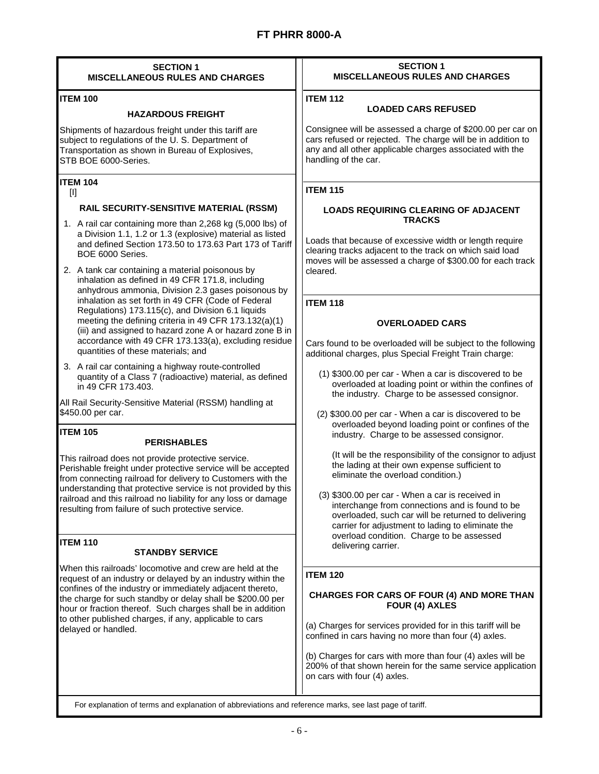| <b>SECTION 1</b>                                                                                                                                                                                                                                                                                                                                                                                                                                                                                                                                                                                                                                                                                                                                                                                                                                                                                                                                                                                                                                                                                                                                                                                                                                                                                                                                                                                                                                                                                                                                                                                                                                                                                                                                                                                                                                                            | <b>SECTION 1</b>                                                                                                                                                                                                                                                                                                                                                                                                                                                                                                                                                                                                                                                                                                                                                                                                                                                                                                                                                                                                                                                                                                                                                                                                                                                                                                                                                                                                                                                                                                                                                                                           |
|-----------------------------------------------------------------------------------------------------------------------------------------------------------------------------------------------------------------------------------------------------------------------------------------------------------------------------------------------------------------------------------------------------------------------------------------------------------------------------------------------------------------------------------------------------------------------------------------------------------------------------------------------------------------------------------------------------------------------------------------------------------------------------------------------------------------------------------------------------------------------------------------------------------------------------------------------------------------------------------------------------------------------------------------------------------------------------------------------------------------------------------------------------------------------------------------------------------------------------------------------------------------------------------------------------------------------------------------------------------------------------------------------------------------------------------------------------------------------------------------------------------------------------------------------------------------------------------------------------------------------------------------------------------------------------------------------------------------------------------------------------------------------------------------------------------------------------------------------------------------------------|------------------------------------------------------------------------------------------------------------------------------------------------------------------------------------------------------------------------------------------------------------------------------------------------------------------------------------------------------------------------------------------------------------------------------------------------------------------------------------------------------------------------------------------------------------------------------------------------------------------------------------------------------------------------------------------------------------------------------------------------------------------------------------------------------------------------------------------------------------------------------------------------------------------------------------------------------------------------------------------------------------------------------------------------------------------------------------------------------------------------------------------------------------------------------------------------------------------------------------------------------------------------------------------------------------------------------------------------------------------------------------------------------------------------------------------------------------------------------------------------------------------------------------------------------------------------------------------------------------|
| <b>MISCELLANEOUS RULES AND CHARGES</b>                                                                                                                                                                                                                                                                                                                                                                                                                                                                                                                                                                                                                                                                                                                                                                                                                                                                                                                                                                                                                                                                                                                                                                                                                                                                                                                                                                                                                                                                                                                                                                                                                                                                                                                                                                                                                                      | <b>MISCELLANEOUS RULES AND CHARGES</b>                                                                                                                                                                                                                                                                                                                                                                                                                                                                                                                                                                                                                                                                                                                                                                                                                                                                                                                                                                                                                                                                                                                                                                                                                                                                                                                                                                                                                                                                                                                                                                     |
| <b>ITEM 100</b>                                                                                                                                                                                                                                                                                                                                                                                                                                                                                                                                                                                                                                                                                                                                                                                                                                                                                                                                                                                                                                                                                                                                                                                                                                                                                                                                                                                                                                                                                                                                                                                                                                                                                                                                                                                                                                                             | <b>ITEM 112</b>                                                                                                                                                                                                                                                                                                                                                                                                                                                                                                                                                                                                                                                                                                                                                                                                                                                                                                                                                                                                                                                                                                                                                                                                                                                                                                                                                                                                                                                                                                                                                                                            |
| <b>HAZARDOUS FREIGHT</b>                                                                                                                                                                                                                                                                                                                                                                                                                                                                                                                                                                                                                                                                                                                                                                                                                                                                                                                                                                                                                                                                                                                                                                                                                                                                                                                                                                                                                                                                                                                                                                                                                                                                                                                                                                                                                                                    | <b>LOADED CARS REFUSED</b>                                                                                                                                                                                                                                                                                                                                                                                                                                                                                                                                                                                                                                                                                                                                                                                                                                                                                                                                                                                                                                                                                                                                                                                                                                                                                                                                                                                                                                                                                                                                                                                 |
| Shipments of hazardous freight under this tariff are                                                                                                                                                                                                                                                                                                                                                                                                                                                                                                                                                                                                                                                                                                                                                                                                                                                                                                                                                                                                                                                                                                                                                                                                                                                                                                                                                                                                                                                                                                                                                                                                                                                                                                                                                                                                                        | Consignee will be assessed a charge of \$200.00 per car on                                                                                                                                                                                                                                                                                                                                                                                                                                                                                                                                                                                                                                                                                                                                                                                                                                                                                                                                                                                                                                                                                                                                                                                                                                                                                                                                                                                                                                                                                                                                                 |
| subject to regulations of the U.S. Department of                                                                                                                                                                                                                                                                                                                                                                                                                                                                                                                                                                                                                                                                                                                                                                                                                                                                                                                                                                                                                                                                                                                                                                                                                                                                                                                                                                                                                                                                                                                                                                                                                                                                                                                                                                                                                            | cars refused or rejected. The charge will be in addition to                                                                                                                                                                                                                                                                                                                                                                                                                                                                                                                                                                                                                                                                                                                                                                                                                                                                                                                                                                                                                                                                                                                                                                                                                                                                                                                                                                                                                                                                                                                                                |
| Transportation as shown in Bureau of Explosives,                                                                                                                                                                                                                                                                                                                                                                                                                                                                                                                                                                                                                                                                                                                                                                                                                                                                                                                                                                                                                                                                                                                                                                                                                                                                                                                                                                                                                                                                                                                                                                                                                                                                                                                                                                                                                            | any and all other applicable charges associated with the                                                                                                                                                                                                                                                                                                                                                                                                                                                                                                                                                                                                                                                                                                                                                                                                                                                                                                                                                                                                                                                                                                                                                                                                                                                                                                                                                                                                                                                                                                                                                   |
| STB BOE 6000-Series.                                                                                                                                                                                                                                                                                                                                                                                                                                                                                                                                                                                                                                                                                                                                                                                                                                                                                                                                                                                                                                                                                                                                                                                                                                                                                                                                                                                                                                                                                                                                                                                                                                                                                                                                                                                                                                                        | handling of the car.                                                                                                                                                                                                                                                                                                                                                                                                                                                                                                                                                                                                                                                                                                                                                                                                                                                                                                                                                                                                                                                                                                                                                                                                                                                                                                                                                                                                                                                                                                                                                                                       |
| <b>ITEM 104</b><br>$[1]$<br>RAIL SECURITY-SENSITIVE MATERIAL (RSSM)<br>1. A rail car containing more than 2,268 kg (5,000 lbs) of<br>a Division 1.1, 1.2 or 1.3 (explosive) material as listed<br>and defined Section 173.50 to 173.63 Part 173 of Tariff<br>BOE 6000 Series.<br>2. A tank car containing a material poisonous by<br>inhalation as defined in 49 CFR 171.8, including<br>anhydrous ammonia, Division 2.3 gases poisonous by<br>inhalation as set forth in 49 CFR (Code of Federal<br>Regulations) 173.115(c), and Division 6.1 liquids<br>meeting the defining criteria in 49 CFR 173.132(a)(1)<br>(iii) and assigned to hazard zone A or hazard zone B in<br>accordance with 49 CFR 173.133(a), excluding residue<br>quantities of these materials; and<br>3. A rail car containing a highway route-controlled<br>quantity of a Class 7 (radioactive) material, as defined<br>in 49 CFR 173.403.<br>All Rail Security-Sensitive Material (RSSM) handling at<br>\$450.00 per car.<br><b>ITEM 105</b><br><b>PERISHABLES</b><br>This railroad does not provide protective service.<br>Perishable freight under protective service will be accepted<br>from connecting railroad for delivery to Customers with the<br>understanding that protective service is not provided by this<br>railroad and this railroad no liability for any loss or damage<br>resulting from failure of such protective service.<br><b>ITEM 110</b><br><b>STANDBY SERVICE</b><br>When this railroads' locomotive and crew are held at the<br>request of an industry or delayed by an industry within the<br>confines of the industry or immediately adjacent thereto,<br>the charge for such standby or delay shall be \$200.00 per<br>hour or fraction thereof. Such charges shall be in addition<br>to other published charges, if any, applicable to cars<br>delayed or handled. | <b>ITEM 115</b><br>LOADS REQUIRING CLEARING OF ADJACENT<br><b>TRACKS</b><br>Loads that because of excessive width or length require<br>clearing tracks adjacent to the track on which said load<br>moves will be assessed a charge of \$300.00 for each track<br>cleared.<br><b>ITEM 118</b><br><b>OVERLOADED CARS</b><br>Cars found to be overloaded will be subject to the following<br>additional charges, plus Special Freight Train charge:<br>(1) \$300.00 per car - When a car is discovered to be<br>overloaded at loading point or within the confines of<br>the industry. Charge to be assessed consignor.<br>(2) \$300.00 per car - When a car is discovered to be<br>overloaded beyond loading point or confines of the<br>industry. Charge to be assessed consignor.<br>(It will be the responsibility of the consignor to adjust<br>the lading at their own expense sufficient to<br>eliminate the overload condition.)<br>(3) \$300.00 per car - When a car is received in<br>interchange from connections and is found to be<br>overloaded, such car will be returned to delivering<br>carrier for adjustment to lading to eliminate the<br>overload condition. Charge to be assessed<br>delivering carrier.<br><b>ITEM 120</b><br><b>CHARGES FOR CARS OF FOUR (4) AND MORE THAN</b><br>FOUR (4) AXLES<br>(a) Charges for services provided for in this tariff will be<br>confined in cars having no more than four (4) axles.<br>(b) Charges for cars with more than four (4) axles will be<br>200% of that shown herein for the same service application<br>on cars with four (4) axles. |
| For explanation of terms and explanation of abbreviations and reference marks, see last page of tariff.                                                                                                                                                                                                                                                                                                                                                                                                                                                                                                                                                                                                                                                                                                                                                                                                                                                                                                                                                                                                                                                                                                                                                                                                                                                                                                                                                                                                                                                                                                                                                                                                                                                                                                                                                                     |                                                                                                                                                                                                                                                                                                                                                                                                                                                                                                                                                                                                                                                                                                                                                                                                                                                                                                                                                                                                                                                                                                                                                                                                                                                                                                                                                                                                                                                                                                                                                                                                            |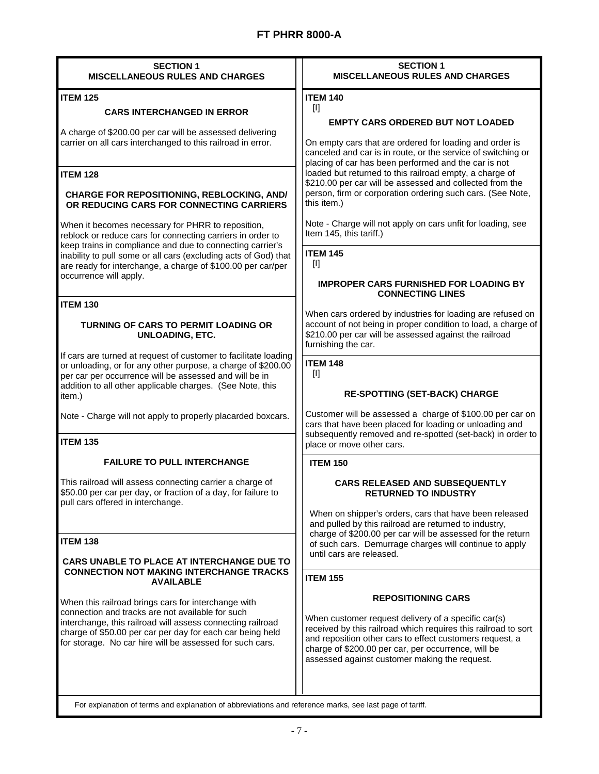| <b>SECTION 1</b><br><b>MISCELLANEOUS RULES AND CHARGES</b>                                                                                                                                                                                             | <b>SECTION 1</b><br><b>MISCELLANEOUS RULES AND CHARGES</b>                                                                                                                                                                                                                                |
|--------------------------------------------------------------------------------------------------------------------------------------------------------------------------------------------------------------------------------------------------------|-------------------------------------------------------------------------------------------------------------------------------------------------------------------------------------------------------------------------------------------------------------------------------------------|
| <b>ITEM 125</b>                                                                                                                                                                                                                                        | <b>ITEM 140</b>                                                                                                                                                                                                                                                                           |
| <b>CARS INTERCHANGED IN ERROR</b>                                                                                                                                                                                                                      | $\mathbf{H}$                                                                                                                                                                                                                                                                              |
|                                                                                                                                                                                                                                                        | <b>EMPTY CARS ORDERED BUT NOT LOADED</b>                                                                                                                                                                                                                                                  |
| A charge of \$200.00 per car will be assessed delivering<br>carrier on all cars interchanged to this railroad in error.                                                                                                                                | On empty cars that are ordered for loading and order is<br>canceled and car is in route, or the service of switching or<br>placing of car has been performed and the car is not                                                                                                           |
| <b>ITEM 128</b>                                                                                                                                                                                                                                        | loaded but returned to this railroad empty, a charge of                                                                                                                                                                                                                                   |
| <b>CHARGE FOR REPOSITIONING, REBLOCKING, AND/</b><br>OR REDUCING CARS FOR CONNECTING CARRIERS                                                                                                                                                          | \$210.00 per car will be assessed and collected from the<br>person, firm or corporation ordering such cars. (See Note,<br>this item.)                                                                                                                                                     |
| When it becomes necessary for PHRR to reposition,<br>reblock or reduce cars for connecting carriers in order to<br>keep trains in compliance and due to connecting carrier's                                                                           | Note - Charge will not apply on cars unfit for loading, see<br>Item 145, this tariff.)                                                                                                                                                                                                    |
| inability to pull some or all cars (excluding acts of God) that<br>are ready for interchange, a charge of \$100.00 per car/per                                                                                                                         | <b>ITEM 145</b><br>$[1]$                                                                                                                                                                                                                                                                  |
| occurrence will apply.                                                                                                                                                                                                                                 | <b>IMPROPER CARS FURNISHED FOR LOADING BY</b><br><b>CONNECTING LINES</b>                                                                                                                                                                                                                  |
| <b>ITEM 130</b>                                                                                                                                                                                                                                        | When cars ordered by industries for loading are refused on                                                                                                                                                                                                                                |
| <b>TURNING OF CARS TO PERMIT LOADING OR</b><br><b>UNLOADING, ETC.</b>                                                                                                                                                                                  | account of not being in proper condition to load, a charge of<br>\$210.00 per car will be assessed against the railroad<br>furnishing the car.                                                                                                                                            |
| If cars are turned at request of customer to facilitate loading<br>or unloading, or for any other purpose, a charge of \$200.00<br>per car per occurrence will be assessed and will be in<br>addition to all other applicable charges. (See Note, this | <b>ITEM 148</b><br>Ш                                                                                                                                                                                                                                                                      |
| item.)                                                                                                                                                                                                                                                 | <b>RE-SPOTTING (SET-BACK) CHARGE</b>                                                                                                                                                                                                                                                      |
| Note - Charge will not apply to properly placarded boxcars.                                                                                                                                                                                            | Customer will be assessed a charge of \$100.00 per car on<br>cars that have been placed for loading or unloading and<br>subsequently removed and re-spotted (set-back) in order to                                                                                                        |
| <b>ITEM 135</b>                                                                                                                                                                                                                                        | place or move other cars.                                                                                                                                                                                                                                                                 |
| <b>FAILURE TO PULL INTERCHANGE</b>                                                                                                                                                                                                                     | <b>ITEM 150</b>                                                                                                                                                                                                                                                                           |
| This railroad will assess connecting carrier a charge of<br>\$50.00 per car per day, or fraction of a day, for failure to<br>pull cars offered in interchange.                                                                                         | <b>CARS RELEASED AND SUBSEQUENTLY</b><br><b>RETURNED TO INDUSTRY</b>                                                                                                                                                                                                                      |
|                                                                                                                                                                                                                                                        | When on shipper's orders, cars that have been released<br>and pulled by this railroad are returned to industry,                                                                                                                                                                           |
| <b>ITEM 138</b>                                                                                                                                                                                                                                        | charge of \$200.00 per car will be assessed for the return<br>of such cars. Demurrage charges will continue to apply                                                                                                                                                                      |
| CARS UNABLE TO PLACE AT INTERCHANGE DUE TO<br><b>CONNECTION NOT MAKING INTERCHANGE TRACKS</b><br><b>AVAILABLE</b>                                                                                                                                      | until cars are released.<br><b>ITEM 155</b>                                                                                                                                                                                                                                               |
|                                                                                                                                                                                                                                                        |                                                                                                                                                                                                                                                                                           |
| When this railroad brings cars for interchange with                                                                                                                                                                                                    | <b>REPOSITIONING CARS</b>                                                                                                                                                                                                                                                                 |
| connection and tracks are not available for such<br>interchange, this railroad will assess connecting railroad<br>charge of \$50.00 per car per day for each car being held<br>for storage. No car hire will be assessed for such cars.                | When customer request delivery of a specific car(s)<br>received by this railroad which requires this railroad to sort<br>and reposition other cars to effect customers request, a<br>charge of \$200.00 per car, per occurrence, will be<br>assessed against customer making the request. |
| For explanation of terms and explanation of abbreviations and reference marks, see last page of tariff.                                                                                                                                                |                                                                                                                                                                                                                                                                                           |
|                                                                                                                                                                                                                                                        |                                                                                                                                                                                                                                                                                           |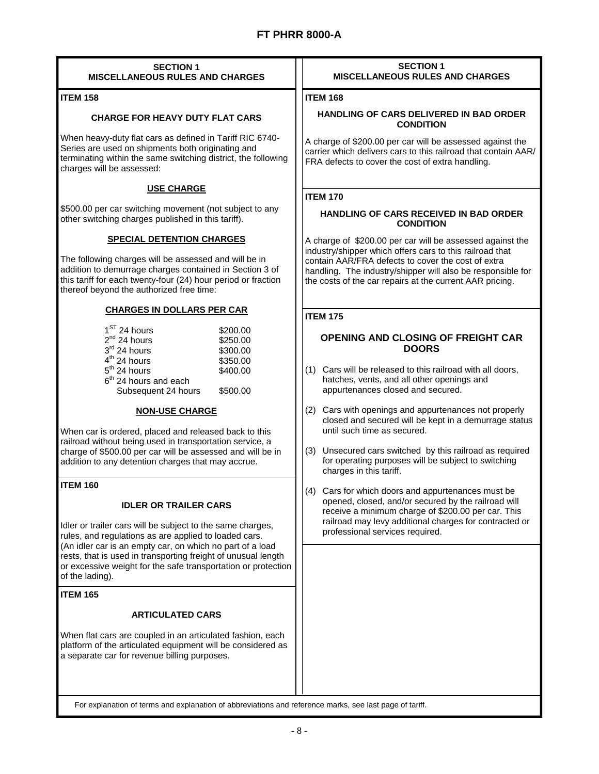| <b>SECTION 1</b><br><b>MISCELLANEOUS RULES AND CHARGES</b>                                                                                                                                                                                                                                                                                                            | <b>SECTION 1</b><br><b>MISCELLANEOUS RULES AND CHARGES</b>                                                                                                                                                                                |
|-----------------------------------------------------------------------------------------------------------------------------------------------------------------------------------------------------------------------------------------------------------------------------------------------------------------------------------------------------------------------|-------------------------------------------------------------------------------------------------------------------------------------------------------------------------------------------------------------------------------------------|
| <b>ITEM 158</b>                                                                                                                                                                                                                                                                                                                                                       | <b>ITEM 168</b>                                                                                                                                                                                                                           |
| <b>CHARGE FOR HEAVY DUTY FLAT CARS</b>                                                                                                                                                                                                                                                                                                                                | <b>HANDLING OF CARS DELIVERED IN BAD ORDER</b><br><b>CONDITION</b>                                                                                                                                                                        |
| When heavy-duty flat cars as defined in Tariff RIC 6740-<br>Series are used on shipments both originating and<br>terminating within the same switching district, the following<br>charges will be assessed:                                                                                                                                                           | A charge of \$200.00 per car will be assessed against the<br>carrier which delivers cars to this railroad that contain AAR/<br>FRA defects to cover the cost of extra handling.                                                           |
| <b>USE CHARGE</b>                                                                                                                                                                                                                                                                                                                                                     | <b>ITEM 170</b>                                                                                                                                                                                                                           |
| \$500.00 per car switching movement (not subject to any<br>other switching charges published in this tariff).                                                                                                                                                                                                                                                         | HANDLING OF CARS RECEIVED IN BAD ORDER<br><b>CONDITION</b>                                                                                                                                                                                |
| <b>SPECIAL DETENTION CHARGES</b>                                                                                                                                                                                                                                                                                                                                      | A charge of \$200.00 per car will be assessed against the                                                                                                                                                                                 |
| The following charges will be assessed and will be in<br>addition to demurrage charges contained in Section 3 of<br>this tariff for each twenty-four (24) hour period or fraction<br>thereof beyond the authorized free time:                                                                                                                                         | industry/shipper which offers cars to this railroad that<br>contain AAR/FRA defects to cover the cost of extra<br>handling. The industry/shipper will also be responsible for<br>the costs of the car repairs at the current AAR pricing. |
| <b>CHARGES IN DOLLARS PER CAR</b>                                                                                                                                                                                                                                                                                                                                     | <b>ITEM 175</b>                                                                                                                                                                                                                           |
| $1ST$ 24 hours<br>\$200.00<br>2 <sup>nd</sup> 24 hours<br>\$250.00<br>$3rd$ 24 hours<br>\$300.00<br>$4th$ 24 hours<br>\$350.00<br>$5th$ 24 hours<br>\$400.00<br>6 <sup>th</sup> 24 hours and each<br>Subsequent 24 hours<br>\$500.00                                                                                                                                  | OPENING AND CLOSING OF FREIGHT CAR<br><b>DOORS</b><br>(1) Cars will be released to this railroad with all doors,<br>hatches, vents, and all other openings and<br>appurtenances closed and secured.                                       |
| <b>NON-USE CHARGE</b>                                                                                                                                                                                                                                                                                                                                                 | Cars with openings and appurtenances not properly<br>(2)<br>closed and secured will be kept in a demurrage status                                                                                                                         |
| When car is ordered, placed and released back to this<br>railroad without being used in transportation service, a<br>charge of \$500.00 per car will be assessed and will be in<br>addition to any detention charges that may accrue.                                                                                                                                 | until such time as secured.<br>Unsecured cars switched by this railroad as required<br>(3)<br>for operating purposes will be subject to switching<br>charges in this tariff.                                                              |
| <b>ITEM 160</b>                                                                                                                                                                                                                                                                                                                                                       | Cars for which doors and appurtenances must be<br>(4)                                                                                                                                                                                     |
| <b>IDLER OR TRAILER CARS</b><br>Idler or trailer cars will be subject to the same charges,<br>rules, and regulations as are applied to loaded cars.<br>(An idler car is an empty car, on which no part of a load<br>rests, that is used in transporting freight of unusual length<br>or excessive weight for the safe transportation or protection<br>of the lading). | opened, closed, and/or secured by the railroad will<br>receive a minimum charge of \$200.00 per car. This<br>railroad may levy additional charges for contracted or<br>professional services required.                                    |
| <b>ITEM 165</b>                                                                                                                                                                                                                                                                                                                                                       |                                                                                                                                                                                                                                           |
| <b>ARTICULATED CARS</b>                                                                                                                                                                                                                                                                                                                                               |                                                                                                                                                                                                                                           |
| When flat cars are coupled in an articulated fashion, each<br>platform of the articulated equipment will be considered as<br>a separate car for revenue billing purposes.                                                                                                                                                                                             |                                                                                                                                                                                                                                           |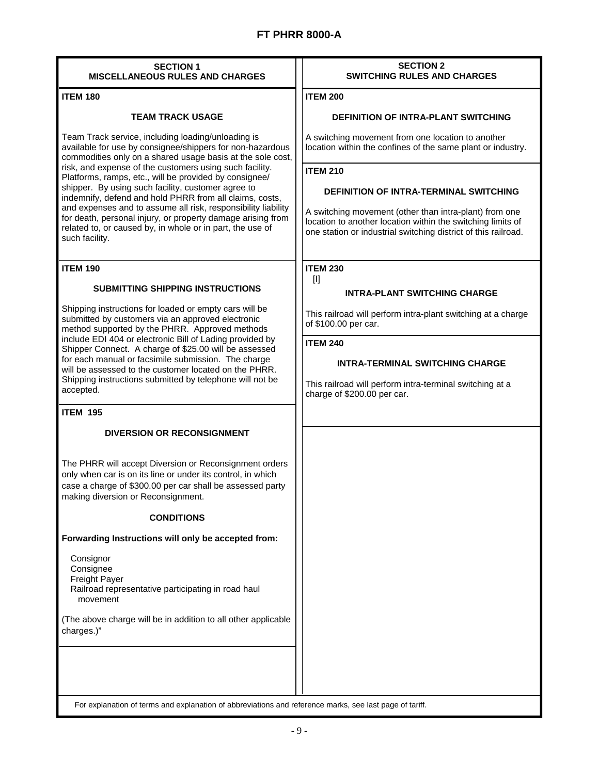| <b>SECTION 1</b><br><b>MISCELLANEOUS RULES AND CHARGES</b>                                                                                                                                                                                                                                                                                                                                                                                                                                                                                                                                                                         | <b>SECTION 2</b><br><b>SWITCHING RULES AND CHARGES</b>                                                                                                                                                                                                                                                                                                                          |
|------------------------------------------------------------------------------------------------------------------------------------------------------------------------------------------------------------------------------------------------------------------------------------------------------------------------------------------------------------------------------------------------------------------------------------------------------------------------------------------------------------------------------------------------------------------------------------------------------------------------------------|---------------------------------------------------------------------------------------------------------------------------------------------------------------------------------------------------------------------------------------------------------------------------------------------------------------------------------------------------------------------------------|
| <b>ITEM 180</b>                                                                                                                                                                                                                                                                                                                                                                                                                                                                                                                                                                                                                    | <b>ITEM 200</b>                                                                                                                                                                                                                                                                                                                                                                 |
| <b>TEAM TRACK USAGE</b>                                                                                                                                                                                                                                                                                                                                                                                                                                                                                                                                                                                                            | DEFINITION OF INTRA-PLANT SWITCHING                                                                                                                                                                                                                                                                                                                                             |
| Team Track service, including loading/unloading is<br>available for use by consignee/shippers for non-hazardous<br>commodities only on a shared usage basis at the sole cost,<br>risk, and expense of the customers using such facility.<br>Platforms, ramps, etc., will be provided by consignee/<br>shipper. By using such facility, customer agree to<br>indemnify, defend and hold PHRR from all claims, costs,<br>and expenses and to assume all risk, responsibility liability<br>for death, personal injury, or property damage arising from<br>related to, or caused by, in whole or in part, the use of<br>such facility. | A switching movement from one location to another<br>location within the confines of the same plant or industry.<br><b>ITEM 210</b><br><b>DEFINITION OF INTRA-TERMINAL SWITCHING</b><br>A switching movement (other than intra-plant) from one<br>location to another location within the switching limits of<br>one station or industrial switching district of this railroad. |
| <b>ITEM 190</b>                                                                                                                                                                                                                                                                                                                                                                                                                                                                                                                                                                                                                    | <b>ITEM 230</b><br>$[1]$                                                                                                                                                                                                                                                                                                                                                        |
| <b>SUBMITTING SHIPPING INSTRUCTIONS</b>                                                                                                                                                                                                                                                                                                                                                                                                                                                                                                                                                                                            | <b>INTRA-PLANT SWITCHING CHARGE</b>                                                                                                                                                                                                                                                                                                                                             |
| Shipping instructions for loaded or empty cars will be<br>submitted by customers via an approved electronic<br>method supported by the PHRR. Approved methods<br>include EDI 404 or electronic Bill of Lading provided by<br>Shipper Connect. A charge of \$25.00 will be assessed<br>for each manual or facsimile submission. The charge<br>will be assessed to the customer located on the PHRR.<br>Shipping instructions submitted by telephone will not be<br>accepted.                                                                                                                                                        | This railroad will perform intra-plant switching at a charge<br>of \$100.00 per car.<br><b>ITEM 240</b><br><b>INTRA-TERMINAL SWITCHING CHARGE</b><br>This railroad will perform intra-terminal switching at a<br>charge of \$200.00 per car.                                                                                                                                    |
| <b>ITEM 195</b>                                                                                                                                                                                                                                                                                                                                                                                                                                                                                                                                                                                                                    |                                                                                                                                                                                                                                                                                                                                                                                 |
| <b>DIVERSION OR RECONSIGNMENT</b>                                                                                                                                                                                                                                                                                                                                                                                                                                                                                                                                                                                                  |                                                                                                                                                                                                                                                                                                                                                                                 |
| The PHRR will accept Diversion or Reconsignment orders<br>only when car is on its line or under its control, in which<br>case a charge of \$300.00 per car shall be assessed party<br>making diversion or Reconsignment.                                                                                                                                                                                                                                                                                                                                                                                                           |                                                                                                                                                                                                                                                                                                                                                                                 |
| <b>CONDITIONS</b>                                                                                                                                                                                                                                                                                                                                                                                                                                                                                                                                                                                                                  |                                                                                                                                                                                                                                                                                                                                                                                 |
| Forwarding Instructions will only be accepted from:<br>Consignor<br>Consignee<br><b>Freight Payer</b><br>Railroad representative participating in road haul<br>movement<br>(The above charge will be in addition to all other applicable<br>charges.)"                                                                                                                                                                                                                                                                                                                                                                             |                                                                                                                                                                                                                                                                                                                                                                                 |
| For explanation of terms and explanation of abbreviations and reference marks, see last page of tariff.                                                                                                                                                                                                                                                                                                                                                                                                                                                                                                                            |                                                                                                                                                                                                                                                                                                                                                                                 |

۰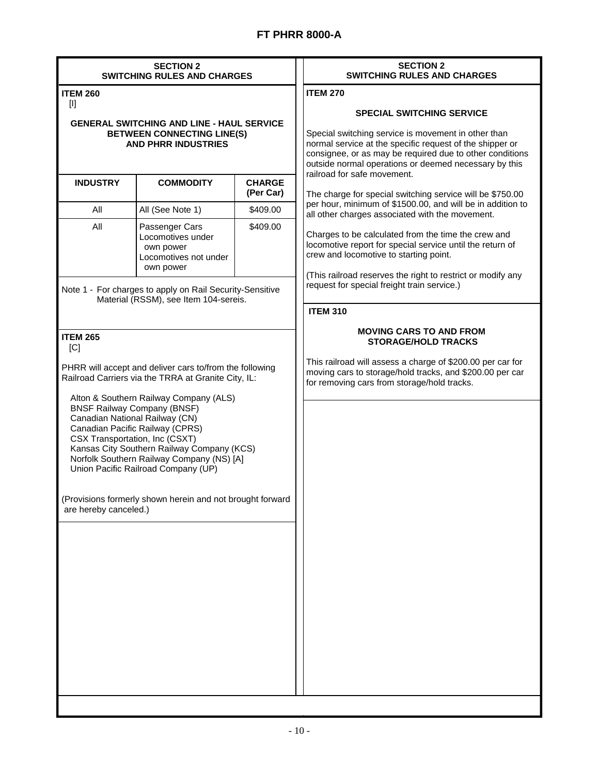| <b>BETWEEN CONNECTING LINE(S)</b><br><b>AND PHRR INDUSTRIES</b><br><b>COMMODITY</b><br>All (See Note 1)<br>Passenger Cars<br>Locomotives under<br>own power<br>Locomotives not under<br>own power<br>Note 1 - For charges to apply on Rail Security-Sensitive<br>Material (RSSM), see Item 104-sereis.<br>PHRR will accept and deliver cars to/from the following<br>Railroad Carriers via the TRRA at Granite City, IL: | <b>GENERAL SWITCHING AND LINE - HAUL SERVICE</b><br><b>CHARGE</b><br>(Per Car)<br>\$409.00<br>\$409.00 | <b>ITEM 270</b><br><b>SPECIAL SWITCHING SERVICE</b><br>Special switching service is movement in other than<br>normal service at the specific request of the shipper or<br>consignee, or as may be required due to other conditions<br>outside normal operations or deemed necessary by this<br>railroad for safe movement.<br>The charge for special switching service will be \$750.00<br>per hour, minimum of \$1500.00, and will be in addition to<br>all other charges associated with the movement.<br>Charges to be calculated from the time the crew and<br>locomotive report for special service until the return of<br>crew and locomotive to starting point.<br>(This railroad reserves the right to restrict or modify any<br>request for special freight train service.)<br><b>ITEM 310</b><br><b>MOVING CARS TO AND FROM</b><br><b>STORAGE/HOLD TRACKS</b><br>This railroad will assess a charge of \$200.00 per car for<br>moving cars to storage/hold tracks, and \$200.00 per car |
|--------------------------------------------------------------------------------------------------------------------------------------------------------------------------------------------------------------------------------------------------------------------------------------------------------------------------------------------------------------------------------------------------------------------------|--------------------------------------------------------------------------------------------------------|---------------------------------------------------------------------------------------------------------------------------------------------------------------------------------------------------------------------------------------------------------------------------------------------------------------------------------------------------------------------------------------------------------------------------------------------------------------------------------------------------------------------------------------------------------------------------------------------------------------------------------------------------------------------------------------------------------------------------------------------------------------------------------------------------------------------------------------------------------------------------------------------------------------------------------------------------------------------------------------------------|
|                                                                                                                                                                                                                                                                                                                                                                                                                          |                                                                                                        |                                                                                                                                                                                                                                                                                                                                                                                                                                                                                                                                                                                                                                                                                                                                                                                                                                                                                                                                                                                                   |
|                                                                                                                                                                                                                                                                                                                                                                                                                          |                                                                                                        |                                                                                                                                                                                                                                                                                                                                                                                                                                                                                                                                                                                                                                                                                                                                                                                                                                                                                                                                                                                                   |
|                                                                                                                                                                                                                                                                                                                                                                                                                          |                                                                                                        |                                                                                                                                                                                                                                                                                                                                                                                                                                                                                                                                                                                                                                                                                                                                                                                                                                                                                                                                                                                                   |
|                                                                                                                                                                                                                                                                                                                                                                                                                          |                                                                                                        |                                                                                                                                                                                                                                                                                                                                                                                                                                                                                                                                                                                                                                                                                                                                                                                                                                                                                                                                                                                                   |
|                                                                                                                                                                                                                                                                                                                                                                                                                          |                                                                                                        |                                                                                                                                                                                                                                                                                                                                                                                                                                                                                                                                                                                                                                                                                                                                                                                                                                                                                                                                                                                                   |
| Alton & Southern Railway Company (ALS)<br><b>BNSF Railway Company (BNSF)</b><br>Canadian National Railway (CN)<br>Canadian Pacific Railway (CPRS)<br>CSX Transportation, Inc (CSXT)<br>Kansas City Southern Railway Company (KCS)<br>Norfolk Southern Railway Company (NS) [A]<br>Union Pacific Railroad Company (UP)                                                                                                    | (Provisions formerly shown herein and not brought forward                                              | for removing cars from storage/hold tracks.                                                                                                                                                                                                                                                                                                                                                                                                                                                                                                                                                                                                                                                                                                                                                                                                                                                                                                                                                       |
|                                                                                                                                                                                                                                                                                                                                                                                                                          |                                                                                                        |                                                                                                                                                                                                                                                                                                                                                                                                                                                                                                                                                                                                                                                                                                                                                                                                                                                                                                                                                                                                   |